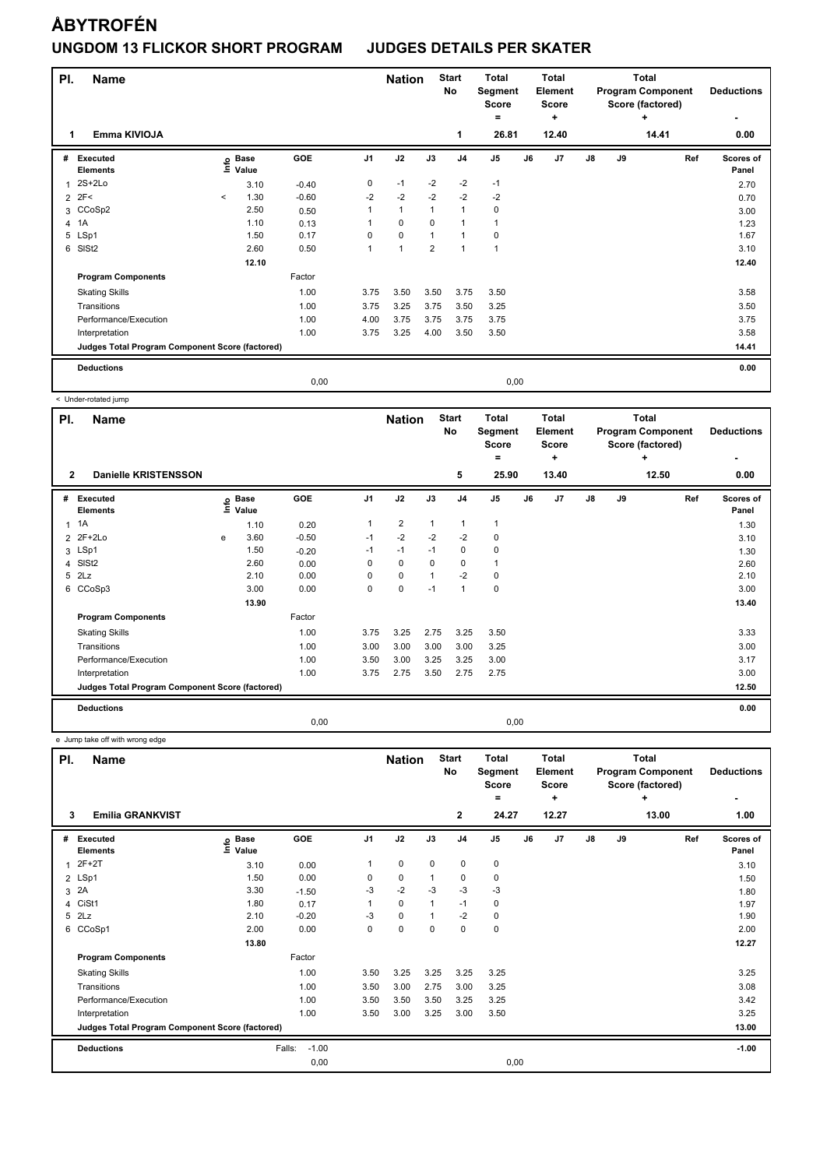## **ÅBYTROFÉN UNGDOM 13 FLICKOR SHORT PROGRAM JUDGES DETAILS PER SKATER**

| PI. | <b>Name</b>                                     |         |                            | <b>Nation</b> |                | <b>Start</b><br>No | <b>Total</b><br>Segment<br><b>Score</b><br>= |                | <b>Total</b><br>Element<br><b>Score</b><br>٠ | <b>Total</b><br><b>Program Component</b><br>Score (factored)<br>٠ |       |               | <b>Deductions</b><br>۰ |       |                    |
|-----|-------------------------------------------------|---------|----------------------------|---------------|----------------|--------------------|----------------------------------------------|----------------|----------------------------------------------|-------------------------------------------------------------------|-------|---------------|------------------------|-------|--------------------|
| 1   | Emma KIVIOJA                                    |         |                            |               |                |                    |                                              | 1              | 26.81                                        |                                                                   | 12.40 |               |                        | 14.41 | 0.00               |
| #   | Executed<br><b>Elements</b>                     |         | e Base<br>E Value<br>Value | GOE           | J <sub>1</sub> | J2                 | J3                                           | J <sub>4</sub> | J5                                           | J6                                                                | J7    | $\mathsf{J}8$ | J9                     | Ref   | Scores of<br>Panel |
| 1   | $2S+2Lo$                                        |         | 3.10                       | $-0.40$       | 0              | $-1$               | $-2$                                         | $-2$           | $-1$                                         |                                                                   |       |               |                        |       | 2.70               |
|     | $2$ $2F<$                                       | $\prec$ | 1.30                       | $-0.60$       | $-2$           | $-2$               | $-2$                                         | $-2$           | $-2$                                         |                                                                   |       |               |                        |       | 0.70               |
| 3   | CCoSp2                                          |         | 2.50                       | 0.50          |                | $\mathbf{1}$       | $\mathbf{1}$                                 | $\mathbf{1}$   | $\mathbf 0$                                  |                                                                   |       |               |                        |       | 3.00               |
| 4   | 1A                                              |         | 1.10                       | 0.13          |                | $\mathbf 0$        | $\Omega$                                     | $\mathbf{1}$   | 1                                            |                                                                   |       |               |                        |       | 1.23               |
|     | 5 LSp1                                          |         | 1.50                       | 0.17          | 0              | $\pmb{0}$          | $\mathbf{1}$                                 | $\mathbf{1}$   | 0                                            |                                                                   |       |               |                        |       | 1.67               |
| 6   | SISt <sub>2</sub>                               |         | 2.60                       | 0.50          |                | $\overline{ }$     | $\overline{2}$                               | $\overline{1}$ | $\overline{1}$                               |                                                                   |       |               |                        |       | 3.10               |
|     |                                                 |         | 12.10                      |               |                |                    |                                              |                |                                              |                                                                   |       |               |                        |       | 12.40              |
|     | <b>Program Components</b>                       |         |                            | Factor        |                |                    |                                              |                |                                              |                                                                   |       |               |                        |       |                    |
|     | <b>Skating Skills</b>                           |         |                            | 1.00          | 3.75           | 3.50               | 3.50                                         | 3.75           | 3.50                                         |                                                                   |       |               |                        |       | 3.58               |
|     | Transitions                                     |         |                            | 1.00          | 3.75           | 3.25               | 3.75                                         | 3.50           | 3.25                                         |                                                                   |       |               |                        |       | 3.50               |
|     | Performance/Execution                           |         |                            | 1.00          | 4.00           | 3.75               | 3.75                                         | 3.75           | 3.75                                         |                                                                   |       |               |                        |       | 3.75               |
|     | Interpretation                                  |         |                            | 1.00          | 3.75           | 3.25               | 4.00                                         | 3.50           | 3.50                                         |                                                                   |       |               |                        |       | 3.58               |
|     | Judges Total Program Component Score (factored) |         |                            |               |                |                    |                                              |                |                                              |                                                                   |       |               |                        |       | 14.41              |
|     | <b>Deductions</b>                               |         |                            |               |                |                    |                                              |                |                                              |                                                                   |       |               |                        |       | 0.00               |
|     |                                                 |         |                            | 0,00          |                |                    |                                              |                | 0,00                                         |                                                                   |       |               |                        |       |                    |

< Under-rotated jump

| PI.            | <b>Name</b>                                     |   |                            |            |                | <b>Nation</b>  |                | <b>Start</b><br><b>No</b> | <b>Total</b><br>Segment<br><b>Score</b><br>$=$ |    | <b>Total</b><br>Element<br><b>Score</b><br>÷ |               |    | <b>Total</b><br><b>Program Component</b><br>Score (factored)<br>÷ | <b>Deductions</b>  |
|----------------|-------------------------------------------------|---|----------------------------|------------|----------------|----------------|----------------|---------------------------|------------------------------------------------|----|----------------------------------------------|---------------|----|-------------------------------------------------------------------|--------------------|
| $\overline{2}$ | <b>Danielle KRISTENSSON</b>                     |   |                            |            |                |                |                | 5                         | 25.90                                          |    | 13.40                                        |               |    | 12.50                                                             | 0.00               |
| #              | <b>Executed</b><br><b>Elements</b>              |   | e Base<br>E Value<br>Value | <b>GOE</b> | J <sub>1</sub> | J2             | J3             | J <sub>4</sub>            | J <sub>5</sub>                                 | J6 | J7                                           | $\mathsf{J}8$ | J9 | Ref                                                               | Scores of<br>Panel |
| $\mathbf{1}$   | 1A                                              |   | 1.10                       | 0.20       | 1              | $\overline{2}$ | $\overline{1}$ | $\mathbf{1}$              | $\mathbf{1}$                                   |    |                                              |               |    |                                                                   | 1.30               |
|                | 2 2F+2Lo                                        | e | 3.60                       | $-0.50$    | $-1$           | $-2$           | $-2$           | $-2$                      | $\pmb{0}$                                      |    |                                              |               |    |                                                                   | 3.10               |
|                | 3 LSp1                                          |   | 1.50                       | $-0.20$    | $-1$           | $-1$           | $-1$           | 0                         | 0                                              |    |                                              |               |    |                                                                   | 1.30               |
| $\overline{4}$ | SISt <sub>2</sub>                               |   | 2.60                       | 0.00       | 0              | $\mathbf 0$    | $\mathbf 0$    | $\mathbf 0$               | $\mathbf{1}$                                   |    |                                              |               |    |                                                                   | 2.60               |
| 5              | 2Lz                                             |   | 2.10                       | 0.00       | 0              | 0              | $\mathbf{1}$   | $-2$                      | 0                                              |    |                                              |               |    |                                                                   | 2.10               |
| 6              | CCoSp3                                          |   | 3.00                       | 0.00       | 0              | $\mathbf 0$    | $-1$           | $\overline{1}$            | $\pmb{0}$                                      |    |                                              |               |    |                                                                   | 3.00               |
|                |                                                 |   | 13.90                      |            |                |                |                |                           |                                                |    |                                              |               |    |                                                                   | 13.40              |
|                | <b>Program Components</b>                       |   |                            | Factor     |                |                |                |                           |                                                |    |                                              |               |    |                                                                   |                    |
|                | <b>Skating Skills</b>                           |   |                            | 1.00       | 3.75           | 3.25           | 2.75           | 3.25                      | 3.50                                           |    |                                              |               |    |                                                                   | 3.33               |
|                | Transitions                                     |   |                            | 1.00       | 3.00           | 3.00           | 3.00           | 3.00                      | 3.25                                           |    |                                              |               |    |                                                                   | 3.00               |
|                | Performance/Execution                           |   |                            | 1.00       | 3.50           | 3.00           | 3.25           | 3.25                      | 3.00                                           |    |                                              |               |    |                                                                   | 3.17               |
|                | Interpretation                                  |   |                            | 1.00       | 3.75           | 2.75           | 3.50           | 2.75                      | 2.75                                           |    |                                              |               |    |                                                                   | 3.00               |
|                | Judges Total Program Component Score (factored) |   |                            |            |                |                |                |                           |                                                |    |                                              |               |    |                                                                   | 12.50              |
|                | <b>Deductions</b>                               |   |                            |            |                |                |                |                           |                                                |    |                                              |               |    |                                                                   | 0.00               |
|                |                                                 |   |                            | 0,00       |                |                |                |                           | 0,00                                           |    |                                              |               |    |                                                                   |                    |

e Jump take off with wrong edge

| PI.<br>3       | <b>Name</b><br><b>Emilia GRANKVIST</b>          |                                  |                   |                | <b>Nation</b> |              | <b>Start</b><br>No<br>$\overline{2}$ | <b>Total</b><br>Segment<br><b>Score</b><br>۰<br>24.27 |    | <b>Total</b><br>Element<br><b>Score</b><br>÷<br>12.27 |               |    | Total<br><b>Program Component</b><br>Score (factored)<br>+<br>13.00 | <b>Deductions</b><br>1.00 |
|----------------|-------------------------------------------------|----------------------------------|-------------------|----------------|---------------|--------------|--------------------------------------|-------------------------------------------------------|----|-------------------------------------------------------|---------------|----|---------------------------------------------------------------------|---------------------------|
| #              | Executed<br><b>Elements</b>                     | <b>Base</b><br>e Base<br>⊆ Value | <b>GOE</b>        | J <sub>1</sub> | J2            | J3           | J <sub>4</sub>                       | J <sub>5</sub>                                        | J6 | J7                                                    | $\mathsf{J}8$ | J9 | Ref                                                                 | Scores of<br>Panel        |
| 1              | $2F+2T$                                         | 3.10                             | 0.00              | 1              | $\pmb{0}$     | 0            | $\mathbf 0$                          | $\pmb{0}$                                             |    |                                                       |               |    |                                                                     | 3.10                      |
| $\overline{2}$ | LSp1                                            | 1.50                             | 0.00              | 0              | $\pmb{0}$     | $\mathbf{1}$ | $\mathbf 0$                          | 0                                                     |    |                                                       |               |    |                                                                     | 1.50                      |
| 3              | 2A                                              | 3.30                             | $-1.50$           | $-3$           | $-2$          | $-3$         | $-3$                                 | $-3$                                                  |    |                                                       |               |    |                                                                     | 1.80                      |
| 4              | CiSt1                                           | 1.80                             | 0.17              | 1              | $\mathbf 0$   | $\mathbf{1}$ | $-1$                                 | 0                                                     |    |                                                       |               |    |                                                                     | 1.97                      |
| 5              | 2Lz                                             | 2.10                             | $-0.20$           | -3             | $\mathbf 0$   |              | $-2$                                 | 0                                                     |    |                                                       |               |    |                                                                     | 1.90                      |
| 6              | CCoSp1                                          | 2.00                             | 0.00              | 0              | $\pmb{0}$     | 0            | $\mathbf 0$                          | $\pmb{0}$                                             |    |                                                       |               |    |                                                                     | 2.00                      |
|                |                                                 | 13.80                            |                   |                |               |              |                                      |                                                       |    |                                                       |               |    |                                                                     | 12.27                     |
|                | <b>Program Components</b>                       |                                  | Factor            |                |               |              |                                      |                                                       |    |                                                       |               |    |                                                                     |                           |
|                | <b>Skating Skills</b>                           |                                  | 1.00              | 3.50           | 3.25          | 3.25         | 3.25                                 | 3.25                                                  |    |                                                       |               |    |                                                                     | 3.25                      |
|                | Transitions                                     |                                  | 1.00              | 3.50           | 3.00          | 2.75         | 3.00                                 | 3.25                                                  |    |                                                       |               |    |                                                                     | 3.08                      |
|                | Performance/Execution                           |                                  | 1.00              | 3.50           | 3.50          | 3.50         | 3.25                                 | 3.25                                                  |    |                                                       |               |    |                                                                     | 3.42                      |
|                | Interpretation                                  |                                  | 1.00              | 3.50           | 3.00          | 3.25         | 3.00                                 | 3.50                                                  |    |                                                       |               |    |                                                                     | 3.25                      |
|                | Judges Total Program Component Score (factored) |                                  |                   |                |               |              |                                      |                                                       |    |                                                       |               |    |                                                                     | 13.00                     |
|                | <b>Deductions</b>                               |                                  | $-1.00$<br>Falls: |                |               |              |                                      |                                                       |    |                                                       |               |    |                                                                     | $-1.00$                   |
|                |                                                 |                                  | 0,00              |                |               |              |                                      | 0,00                                                  |    |                                                       |               |    |                                                                     |                           |